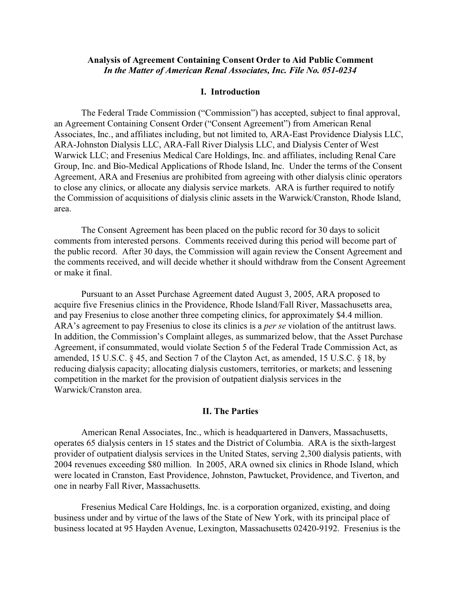# **Analysis of Agreement Containing Consent Order to Aid Public Comment** *In the Matter of American Renal Associates, Inc. File No. 051-0234*

#### **I. Introduction**

The Federal Trade Commission ("Commission") has accepted, subject to final approval, an Agreement Containing Consent Order ("Consent Agreement") from American Renal Associates, Inc., and affiliates including, but not limited to, ARA-East Providence Dialysis LLC, ARA-Johnston Dialysis LLC, ARA-Fall River Dialysis LLC, and Dialysis Center of West Warwick LLC; and Fresenius Medical Care Holdings, Inc. and affiliates, including Renal Care Group, Inc. and Bio-Medical Applications of Rhode Island, Inc. Under the terms of the Consent Agreement, ARA and Fresenius are prohibited from agreeing with other dialysis clinic operators to close any clinics, or allocate any dialysis service markets. ARA is further required to notify the Commission of acquisitions of dialysis clinic assets in the Warwick/Cranston, Rhode Island, area.

The Consent Agreement has been placed on the public record for 30 days to solicit comments from interested persons. Comments received during this period will become part of the public record. After 30 days, the Commission will again review the Consent Agreement and the comments received, and will decide whether it should withdraw from the Consent Agreement or make it final.

Pursuant to an Asset Purchase Agreement dated August 3, 2005, ARA proposed to acquire five Fresenius clinics in the Providence, Rhode Island/Fall River, Massachusetts area, and pay Fresenius to close another three competing clinics, for approximately \$4.4 million. ARA's agreement to pay Fresenius to close its clinics is a *per se* violation of the antitrust laws. In addition, the Commission's Complaint alleges, as summarized below, that the Asset Purchase Agreement, if consummated, would violate Section 5 of the Federal Trade Commission Act, as amended, 15 U.S.C. § 45, and Section 7 of the Clayton Act, as amended, 15 U.S.C. § 18, by reducing dialysis capacity; allocating dialysis customers, territories, or markets; and lessening competition in the market for the provision of outpatient dialysis services in the Warwick/Cranston area.

#### **II. The Parties**

American Renal Associates, Inc., which is headquartered in Danvers, Massachusetts, operates 65 dialysis centers in 15 states and the District of Columbia. ARA is the sixth-largest provider of outpatient dialysis services in the United States, serving 2,300 dialysis patients, with 2004 revenues exceeding \$80 million. In 2005, ARA owned six clinics in Rhode Island, which were located in Cranston, East Providence, Johnston, Pawtucket, Providence, and Tiverton, and one in nearby Fall River, Massachusetts.

Fresenius Medical Care Holdings, Inc. is a corporation organized, existing, and doing business under and by virtue of the laws of the State of New York, with its principal place of business located at 95 Hayden Avenue, Lexington, Massachusetts 02420-9192. Fresenius is the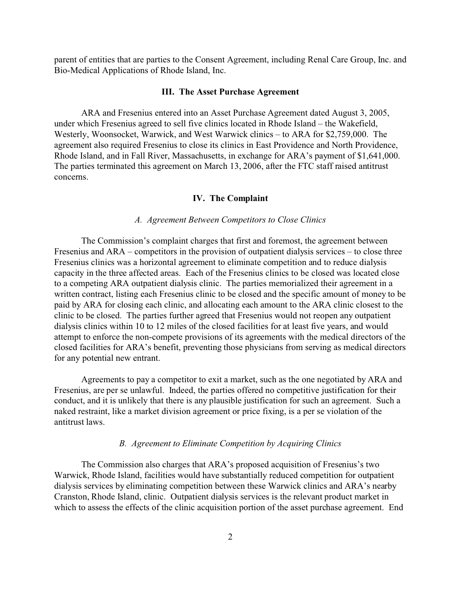parent of entities that are parties to the Consent Agreement, including Renal Care Group, Inc. and Bio-Medical Applications of Rhode Island, Inc.

#### **III. The Asset Purchase Agreement**

ARA and Fresenius entered into an Asset Purchase Agreement dated August 3, 2005, under which Fresenius agreed to sell five clinics located in Rhode Island – the Wakefield, Westerly, Woonsocket, Warwick, and West Warwick clinics – to ARA for \$2,759,000. The agreement also required Fresenius to close its clinics in East Providence and North Providence, Rhode Island, and in Fall River, Massachusetts, in exchange for ARA's payment of \$1,641,000. The parties terminated this agreement on March 13, 2006, after the FTC staff raised antitrust concerns.

# **IV. The Complaint**

# *A. Agreement Between Competitors to Close Clinics*

The Commission's complaint charges that first and foremost, the agreement between Fresenius and ARA – competitors in the provision of outpatient dialysis services – to close three Fresenius clinics was a horizontal agreement to eliminate competition and to reduce dialysis capacity in the three affected areas. Each of the Fresenius clinics to be closed was located close to a competing ARA outpatient dialysis clinic. The parties memorialized their agreement in a written contract, listing each Fresenius clinic to be closed and the specific amount of money to be paid by ARA for closing each clinic, and allocating each amount to the ARA clinic closest to the clinic to be closed. The parties further agreed that Fresenius would not reopen any outpatient dialysis clinics within 10 to 12 miles of the closed facilities for at least five years, and would attempt to enforce the non-compete provisions of its agreements with the medical directors of the closed facilities for ARA's benefit, preventing those physicians from serving as medical directors for any potential new entrant.

Agreements to pay a competitor to exit a market, such as the one negotiated by ARA and Fresenius, are per se unlawful. Indeed, the parties offered no competitive justification for their conduct, and it is unlikely that there is any plausible justification for such an agreement. Such a naked restraint, like a market division agreement or price fixing, is a per se violation of the antitrust laws.

# *B. Agreement to Eliminate Competition by Acquiring Clinics*

The Commission also charges that ARA's proposed acquisition of Fresenius's two Warwick, Rhode Island, facilities would have substantially reduced competition for outpatient dialysis services by eliminating competition between these Warwick clinics and ARA's nearby Cranston, Rhode Island, clinic. Outpatient dialysis services is the relevant product market in which to assess the effects of the clinic acquisition portion of the asset purchase agreement. End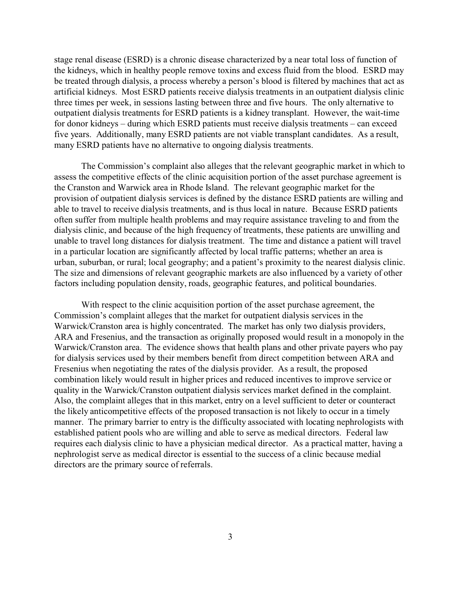stage renal disease (ESRD) is a chronic disease characterized by a near total loss of function of the kidneys, which in healthy people remove toxins and excess fluid from the blood. ESRD may be treated through dialysis, a process whereby a person's blood is filtered by machines that act as artificial kidneys. Most ESRD patients receive dialysis treatments in an outpatient dialysis clinic three times per week, in sessions lasting between three and five hours. The only alternative to outpatient dialysis treatments for ESRD patients is a kidney transplant. However, the wait-time for donor kidneys – during which ESRD patients must receive dialysis treatments – can exceed five years. Additionally, many ESRD patients are not viable transplant candidates. As a result, many ESRD patients have no alternative to ongoing dialysis treatments.

The Commission's complaint also alleges that the relevant geographic market in which to assess the competitive effects of the clinic acquisition portion of the asset purchase agreement is the Cranston and Warwick area in Rhode Island. The relevant geographic market for the provision of outpatient dialysis services is defined by the distance ESRD patients are willing and able to travel to receive dialysis treatments, and is thus local in nature. Because ESRD patients often suffer from multiple health problems and may require assistance traveling to and from the dialysis clinic, and because of the high frequency of treatments, these patients are unwilling and unable to travel long distances for dialysis treatment. The time and distance a patient will travel in a particular location are significantly affected by local traffic patterns; whether an area is urban, suburban, or rural; local geography; and a patient's proximity to the nearest dialysis clinic. The size and dimensions of relevant geographic markets are also influenced by a variety of other factors including population density, roads, geographic features, and political boundaries.

With respect to the clinic acquisition portion of the asset purchase agreement, the Commission's complaint alleges that the market for outpatient dialysis services in the Warwick/Cranston area is highly concentrated. The market has only two dialysis providers, ARA and Fresenius, and the transaction as originally proposed would result in a monopoly in the Warwick/Cranston area. The evidence shows that health plans and other private payers who pay for dialysis services used by their members benefit from direct competition between ARA and Fresenius when negotiating the rates of the dialysis provider. As a result, the proposed combination likely would result in higher prices and reduced incentives to improve service or quality in the Warwick/Cranston outpatient dialysis services market defined in the complaint. Also, the complaint alleges that in this market, entry on a level sufficient to deter or counteract the likely anticompetitive effects of the proposed transaction is not likely to occur in a timely manner. The primary barrier to entry is the difficulty associated with locating nephrologists with established patient pools who are willing and able to serve as medical directors. Federal law requires each dialysis clinic to have a physician medical director. As a practical matter, having a nephrologist serve as medical director is essential to the success of a clinic because medial directors are the primary source of referrals.